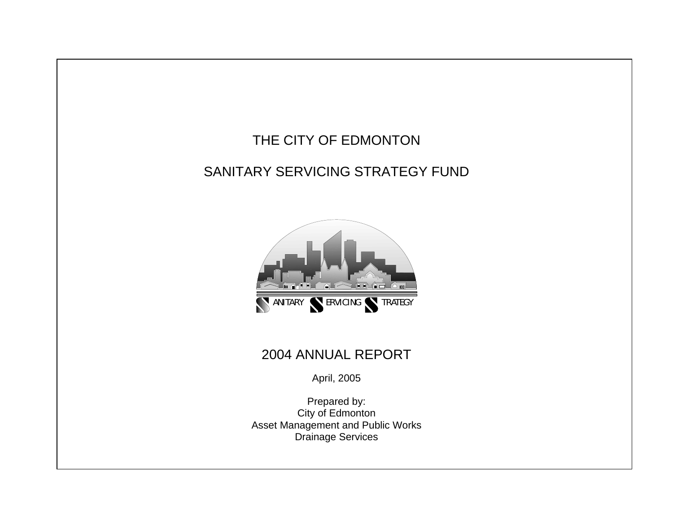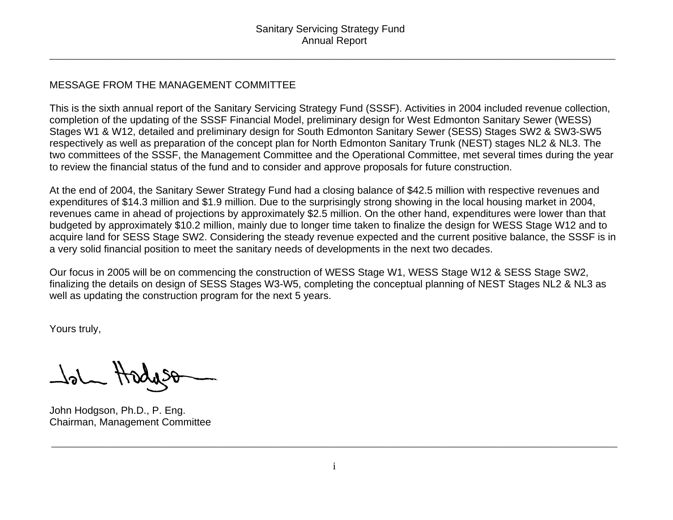\_\_\_\_\_\_\_\_\_\_\_\_\_\_\_\_\_\_\_\_\_\_\_\_\_\_\_\_\_\_\_\_\_\_\_\_\_\_\_\_\_\_\_\_\_\_\_\_\_\_\_\_\_\_\_\_\_\_\_\_\_\_\_\_\_\_\_\_\_\_\_\_\_\_\_\_\_\_\_\_\_\_\_\_\_\_\_\_\_\_\_\_\_\_\_\_\_\_\_\_\_\_\_\_\_\_\_\_\_\_\_

### MESSAGE FROM THE MANAGEMENT COMMITTEE

This is the sixth annual report of the Sanitary Servicing Strategy Fund (SSSF). Activities in 2004 included revenue collection, completion of the updating of the SSSF Financial Model, preliminary design for West Edmonton Sanitary Sewer (WESS) Stages W1 & W12, detailed and preliminary design for South Edmonton Sanitary Sewer (SESS) Stages SW2 & SW3-SW5 respectively as well as preparation of the concept plan for North Edmonton Sanitary Trunk (NEST) stages NL2 & NL3. The two committees of the SSSF, the Management Committee and the Operational Committee, met several times during the year to review the financial status of the fund and to consider and approve proposals for future construction.

At the end of 2004, the Sanitary Sewer Strategy Fund had a closing balance of \$42.5 million with respective revenues and expenditures of \$14.3 million and \$1.9 million. Due to the surprisingly strong showing in the local housing market in 2004, revenues came in ahead of projections by approximately \$2.5 million. On the other hand, expenditures were lower than that budgeted by approximately \$10.2 million, mainly due to longer time taken to finalize the design for WESS Stage W12 and to acquire land for SESS Stage SW2. Considering the steady revenue expected and the current positive balance, the SSSF is in a very solid financial position to meet the sanitary needs of developments in the next two decades.

Our focus in 2005 will be on commencing the construction of WESS Stage W1, WESS Stage W12 & SESS Stage SW2, finalizing the details on design of SESS Stages W3-W5, completing the conceptual planning of NEST Stages NL2 & NL3 as well as updating the construction program for the next 5 years.

Yours truly,

John Hadyso

John Hodgson, Ph.D., P. Eng. Chairman, Management Committee

\_\_\_\_\_\_\_\_\_\_\_\_\_\_\_\_\_\_\_\_\_\_\_\_\_\_\_\_\_\_\_\_\_\_\_\_\_\_\_\_\_\_\_\_\_\_\_\_\_\_\_\_\_\_\_\_\_\_\_\_\_\_\_\_\_\_\_\_\_\_\_\_\_\_\_\_\_\_\_\_\_\_\_\_\_\_\_\_\_\_\_\_\_\_\_\_\_\_\_\_\_\_\_\_\_\_\_\_\_\_\_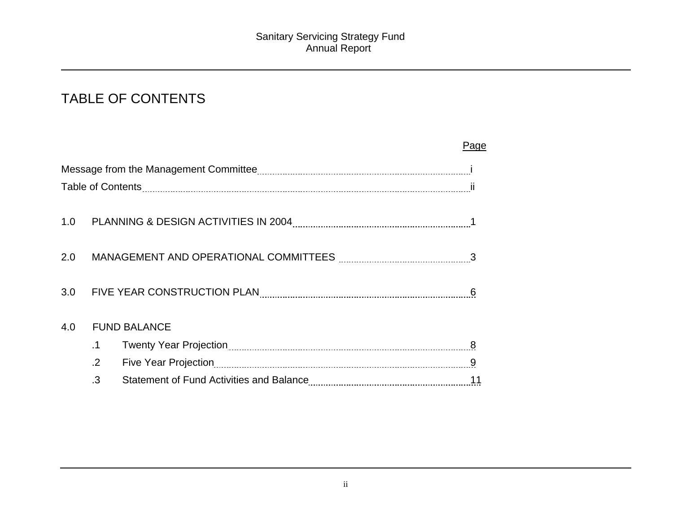# TABLE OF CONTENTS

|     |            |                                                 | Page |
|-----|------------|-------------------------------------------------|------|
|     |            |                                                 |      |
|     |            |                                                 |      |
| 1.0 |            |                                                 |      |
| 2.0 |            |                                                 |      |
| 3.0 |            | FIVE YEAR CONSTRUCTION PLAN ELECTRON CONTINUES. |      |
| 4.0 |            | <b>FUND BALANCE</b>                             |      |
|     | .1         |                                                 | 8    |
|     | $\cdot$ .2 |                                                 |      |
|     | .3         |                                                 |      |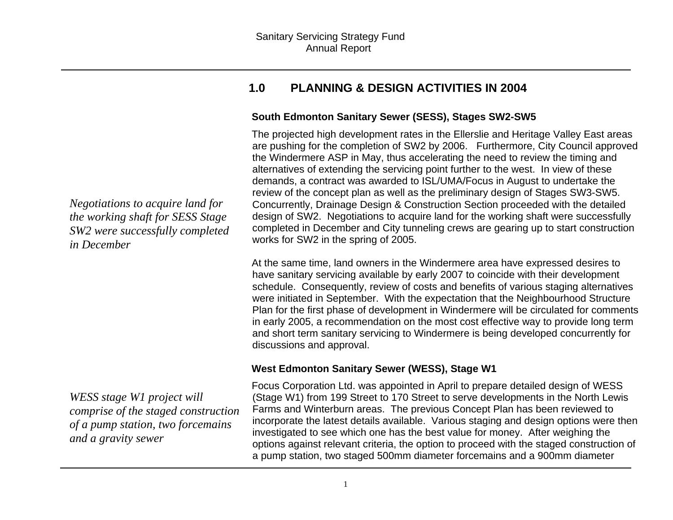### **1.0 PLANNING & DESIGN ACTIVITIES IN 2004**

#### **South Edmonton Sanitary Sewer (SESS), Stages SW2-SW5**

The projected high development rates in the Ellerslie and Heritage Valley East areas are pushing for the completion of SW2 by 2006. Furthermore, City Council approved the Windermere ASP in May, thus accelerating the need to review the timing and alternatives of extending the servicing point further to the west. In view of these demands, a contract was awarded to ISL/UMA/Focus in August to undertake the review of the concept plan as well as the preliminary design of Stages SW3-SW5. Concurrently, Drainage Design & Construction Section proceeded with the detailed design of SW2. Negotiations to acquire land for the working shaft were successfully completed in December and City tunneling crews are gearing up to start construction works for SW2 in the spring of 2005.

At the same time, land owners in the Windermere area have expressed desires to have sanitary servicing available by early 2007 to coincide with their development schedule. Consequently, review of costs and benefits of various staging alternatives were initiated in September. With the expectation that the Neighbourhood Structure Plan for the first phase of development in Windermere will be circulated for comments in early 2005, a recommendation on the most cost effective way to provide long term and short term sanitary servicing to Windermere is being developed concurrently for discussions and approval.

#### **West Edmonton Sanitary Sewer (WESS), Stage W1**

Focus Corporation Ltd. was appointed in April to prepare detailed design of WESS (Stage W1) from 199 Street to 170 Street to serve developments in the North Lewis Farms and Winterburn areas. The previous Concept Plan has been reviewed to incorporate the latest details available. Various staging and design options were then investigated to see which one has the best value for money. After weighing the options against relevant criteria, the option to proceed with the staged construction of a pump station, two staged 500mm diameter forcemains and a 900mm diameter

*Negotiations to acquire land for the working shaft for SESS Stage SW2 were successfully completed in December* 

*WESS stage W1 project will comprise of the staged construction of a pump station, two forcemains and a gravity sewer*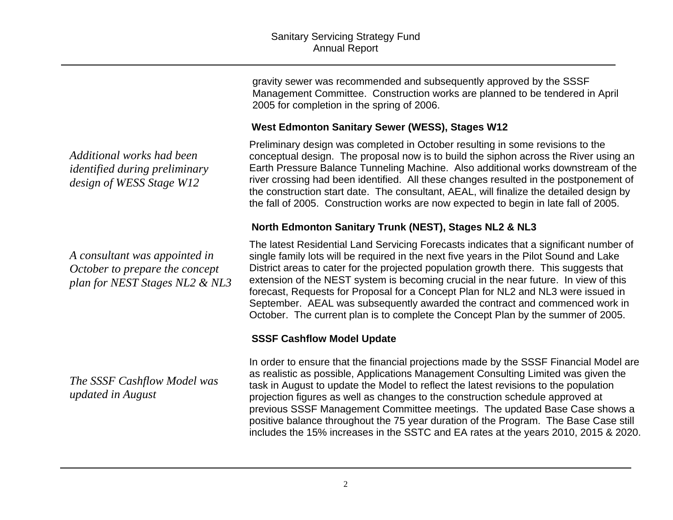gravity sewer was recommended and subsequently approved by the SSSF Management Committee. Construction works are planned to be tendered in April 2005 for completion in the spring of 2006.

#### **West Edmonton Sanitary Sewer (WESS), Stages W12**

Preliminary design was completed in October resulting in some revisions to the conceptual design. The proposal now is to build the siphon across the River using an Earth Pressure Balance Tunneling Machine. Also additional works downstream of the river crossing had been identified. All these changes resulted in the postponement of the construction start date. The consultant, AEAL, will finalize the detailed design by the fall of 2005. Construction works are now expected to begin in late fall of 2005.

#### **North Edmonton Sanitary Trunk (NEST), Stages NL2 & NL3**

The latest Residential Land Servicing Forecasts indicates that a significant number of single family lots will be required in the next five years in the Pilot Sound and Lake District areas to cater for the projected population growth there. This suggests that extension of the NEST system is becoming crucial in the near future. In view of this forecast, Requests for Proposal for a Concept Plan for NL2 and NL3 were issued in September. AEAL was subsequently awarded the contract and commenced work in October. The current plan is to complete the Concept Plan by the summer of 2005.

#### **SSSF Cashflow Model Update**

In order to ensure that the financial projections made by the SSSF Financial Model are as realistic as possible, Applications Management Consulting Limited was given the task in August to update the Model to reflect the latest revisions to the population projection figures as well as changes to the construction schedule approved at previous SSSF Management Committee meetings. The updated Base Case shows a positive balance throughout the 75 year duration of the Program. The Base Case still includes the 15% increases in the SSTC and EA rates at the years 2010, 2015 & 2020.

*Additional works had been identified during preliminary design of WESS Stage W12* 

*A consultant was appointed in October to prepare the concept plan for NEST Stages NL2 & NL3* 

*The SSSF Cashflow Model was updated in August*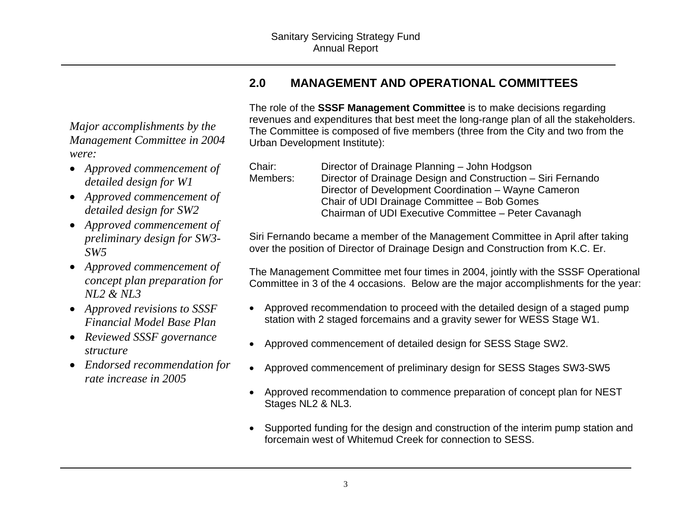### *Major accomplishments by the Management Committee in 2004 were:*

- *Approved commencement of detailed design for W1*
- *Approved commencement of detailed design for SW2*
- *Approved commencement of preliminary design for SW3- SW5*
- *Approved commencement of concept plan preparation for NL2 & NL3*
- *Approved revisions to SSSF Financial Model Base Plan*
- *Reviewed SSSF governance structure*
- *Endorsed recommendation for rate increase in 2005*

## **2.0 MANAGEMENT AND OPERATIONAL COMMITTEES**

The role of the **SSSF Management Committee** is to make decisions regarding revenues and expenditures that best meet the long-range plan of all the stakeholders. The Committee is composed of five members (three from the City and two from the Urban Development Institute):

| Chair:   | Director of Drainage Planning - John Hodgson                 |
|----------|--------------------------------------------------------------|
| Members: | Director of Drainage Design and Construction – Siri Fernando |
|          | Director of Development Coordination – Wayne Cameron         |
|          | Chair of UDI Drainage Committee - Bob Gomes                  |
|          | Chairman of UDI Executive Committee - Peter Cavanagh         |

Siri Fernando became a member of the Management Committee in April after taking over the position of Director of Drainage Design and Construction from K.C. Er.

The Management Committee met four times in 2004, jointly with the SSSF Operational Committee in 3 of the 4 occasions. Below are the major accomplishments for the year:

- Approved recommendation to proceed with the detailed design of a staged pump station with 2 staged forcemains and a gravity sewer for WESS Stage W1.
- Approved commencement of detailed design for SESS Stage SW2.
- Approved commencement of preliminary design for SESS Stages SW3-SW5
- Approved recommendation to commence preparation of concept plan for NEST Stages NL2 & NL3.
- Supported funding for the design and construction of the interim pump station and forcemain west of Whitemud Creek for connection to SESS.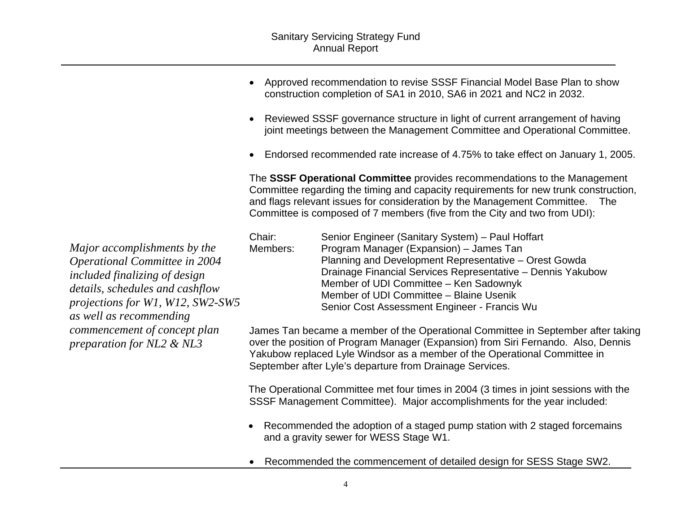- Approved recommendation to revise SSSF Financial Model Base Plan to show construction completion of SA1 in 2010, SA6 in 2021 and NC2 in 2032.
- Reviewed SSSF governance structure in light of current arrangement of having joint meetings between the Management Committee and Operational Committee.
- Endorsed recommended rate increase of 4.75% to take effect on January 1, 2005.

The **SSSF Operational Committee** provides recommendations to the Management Committee regarding the timing and capacity requirements for new trunk construction, and flags relevant issues for consideration by the Management Committee. The Committee is composed of 7 members (five from the City and two from UDI):

|             | Chair:   | Senior Engineer (Sanitary System) – Paul Hoffart            |
|-------------|----------|-------------------------------------------------------------|
|             | Members: | Program Manager (Expansion) – James Tan                     |
|             |          | Planning and Development Representative – Orest Gowda       |
|             |          | Drainage Financial Services Representative - Dennis Yakubow |
|             |          | Member of UDI Committee - Ken Sadownyk                      |
|             |          | Member of UDI Committee - Blaine Usenik                     |
| $5^{\circ}$ |          | Senior Cost Assessment Engineer - Francis Wu                |

James Tan became a member of the Operational Committee in September after taking over the position of Program Manager (Expansion) from Siri Fernando. Also, Dennis Yakubow replaced Lyle Windsor as a member of the Operational Committee in September after Lyle's departure from Drainage Services.

The Operational Committee met four times in 2004 (3 times in joint sessions with the SSSF Management Committee). Major accomplishments for the year included:

- Recommended the adoption of a staged pump station with 2 staged forcemains and a gravity sewer for WESS Stage W1.
- Recommended the commencement of detailed design for SESS Stage SW2.

*Major accomplishments by the Operational Committee in 2004 included finalizing of design details, schedules and cashflow projections for W1, W12, SW2-SW as well as recommending commencement of concept plan preparation for NL2 & NL3*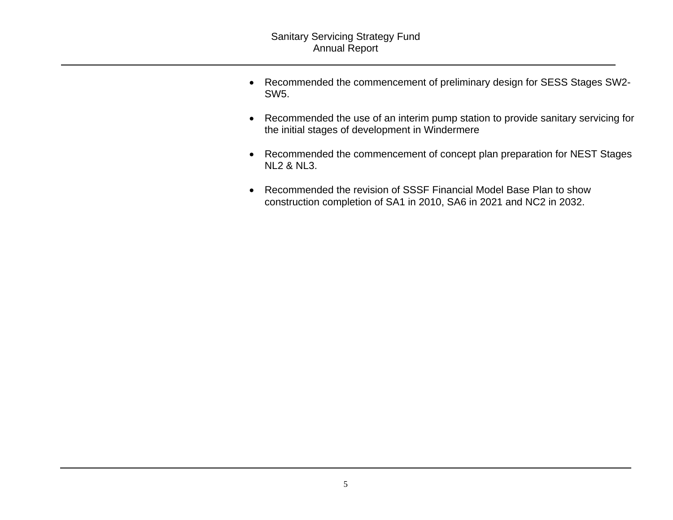- Recommended the commencement of preliminary design for SESS Stages SW2- SW5.
- Recommended the use of an interim pump station to provide sanitary servicing for the initial stages of development in Windermere
- Recommended the commencement of concept plan preparation for NEST Stages NL2 & NL3.
- Recommended the revision of SSSF Financial Model Base Plan to show construction completion of SA1 in 2010, SA6 in 2021 and NC2 in 2032.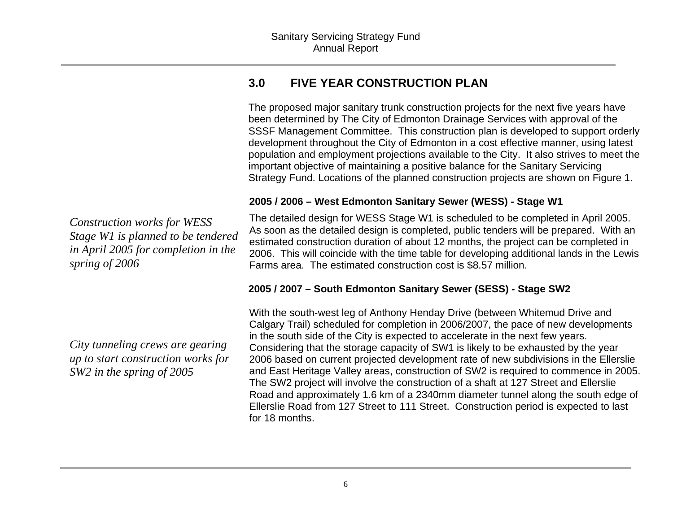### **3.0 FIVE YEAR CONSTRUCTION PLAN**

The proposed major sanitary trunk construction projects for the next five years have been determined by The City of Edmonton Drainage Services with approval of the SSSF Management Committee. This construction plan is developed to support orderly development throughout the City of Edmonton in a cost effective manner, using latest population and employment projections available to the City. It also strives to meet the important objective of maintaining a positive balance for the Sanitary Servicing Strategy Fund. Locations of the planned construction projects are shown on Figure 1.

#### **2005 / 2006 – West Edmonton Sanitary Sewer (WESS) - Stage W1**

The detailed design for WESS Stage W1 is scheduled to be completed in April 2005. As soon as the detailed design is completed, public tenders will be prepared. With an estimated construction duration of about 12 months, the project can be completed in 2006. This will coincide with the time table for developing additional lands in the Lewis Farms area. The estimated construction cost is \$8.57 million.

#### **2005 / 2007 – South Edmonton Sanitary Sewer (SESS) - Stage SW2**

With the south-west leg of Anthony Henday Drive (between Whitemud Drive and Calgary Trail) scheduled for completion in 2006/2007, the pace of new developments in the south side of the City is expected to accelerate in the next few years. Considering that the storage capacity of SW1 is likely to be exhausted by the year 2006 based on current projected development rate of new subdivisions in the Ellerslie and East Heritage Valley areas, construction of SW2 is required to commence in 2005. The SW2 project will involve the construction of a shaft at 127 Street and Ellerslie Road and approximately 1.6 km of a 2340mm diameter tunnel along the south edge of Ellerslie Road from 127 Street to 111 Street. Construction period is expected to last for 18 months.

*Construction works for WESS Stage W1 is planned to be tendered in April 2005 for completion in the spring of 2006*

*City tunneling crews are gearing up to start construction works for SW2 in the spring of 2005*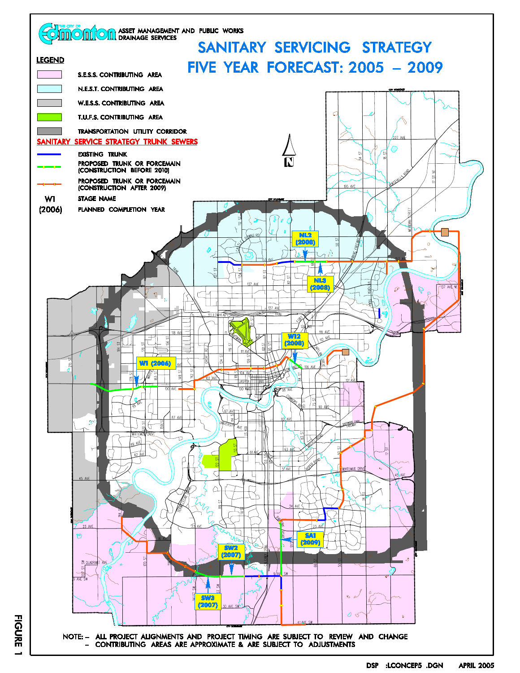

**FIGURE**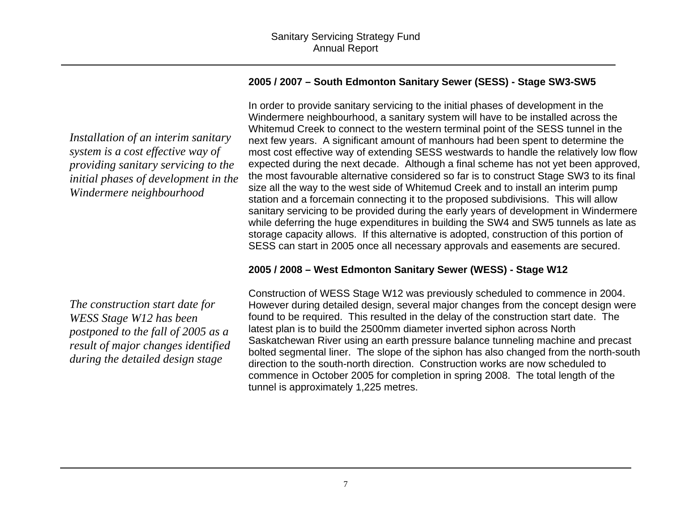#### **2005 / 2007 – South Edmonton Sanitary Sewer (SESS) - Stage SW3-SW5**

In order to provide sanitary servicing to the initial phases of development in the Windermere neighbourhood, a sanitary system will have to be installed across the Whitemud Creek to connect to the western terminal point of the SESS tunnel in the next few years. A significant amount of manhours had been spent to determine the most cost effective way of extending SESS westwards to handle the relatively low flow expected during the next decade. Although a final scheme has not yet been approved, the most favourable alternative considered so far is to construct Stage SW3 to its final size all the way to the west side of Whitemud Creek and to install an interim pump station and a forcemain connecting it to the proposed subdivisions. This will allow sanitary servicing to be provided during the early years of development in Windermere while deferring the huge expenditures in building the SW4 and SW5 tunnels as late as storage capacity allows. If this alternative is adopted, construction of this portion of SESS can start in 2005 once all necessary approvals and easements are secured.

#### **2005 / 2008 – West Edmonton Sanitary Sewer (WESS) - Stage W12**

Construction of WESS Stage W12 was previously scheduled to commence in 2004. However during detailed design, several major changes from the concept design were found to be required. This resulted in the delay of the construction start date. The latest plan is to build the 2500mm diameter inverted siphon across North Saskatchewan River using an earth pressure balance tunneling machine and precast bolted segmental liner. The slope of the siphon has also changed from the north-south direction to the south-north direction. Construction works are now scheduled to commence in October 2005 for completion in spring 2008. The total length of the tunnel is approximately 1,225 metres.

*Installation of an interim sanitary system is a cost effective way of providing sanitary servicing to the initial phases of development in the Windermere neighbourhood* 

*The construction start date for WESS Stage W12 has been postponed to the fall of 2005 as a result of major changes identified during the detailed design stage*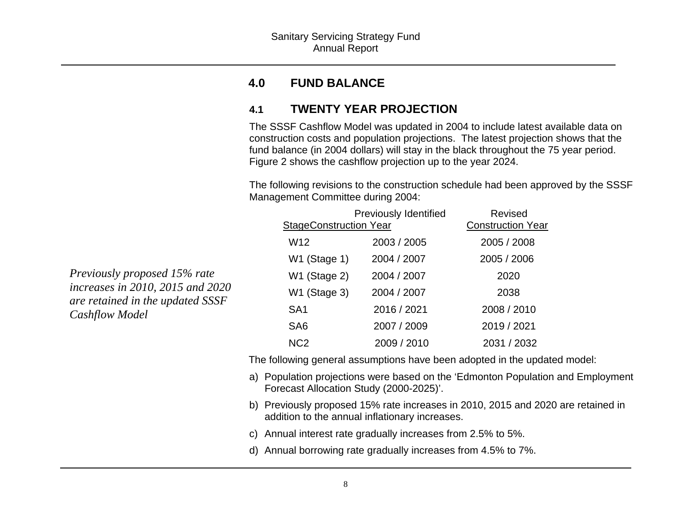#### **4.0FUND BALANCE**

### **4.1 TWENTY YEAR PROJECTION**

The SSSF Cashflow Model was updated in 2004 to include latest available data on construction costs and population projections. The latest projection shows that the fund balance (in 2004 dollars) will stay in the black throughout the 75 year period. Figure 2 shows the cashflow projection up to the year 2024.

The following revisions to the construction schedule had been approved by the SSSF Management Committee during 2004:

|                               | <b>Previously Identified</b> | <b>Revised</b>           |  |  |  |
|-------------------------------|------------------------------|--------------------------|--|--|--|
| <b>StageConstruction Year</b> |                              | <b>Construction Year</b> |  |  |  |
| W <sub>12</sub>               | 2003 / 2005                  | 2005 / 2008              |  |  |  |
| W1 (Stage 1)                  | 2004 / 2007                  | 2005 / 2006              |  |  |  |
| W1 (Stage 2)                  | 2004 / 2007                  | 2020                     |  |  |  |
| W1 (Stage 3)                  | 2004 / 2007                  | 2038                     |  |  |  |
| SA <sub>1</sub>               | 2016 / 2021                  | 2008 / 2010              |  |  |  |
| SA <sub>6</sub>               | 2007 / 2009                  | 2019 / 2021              |  |  |  |
| N <sub>C</sub> 2              | 2009 / 2010                  | 2031 / 2032              |  |  |  |

The following general assumptions have been adopted in the updated model:

- a) Population projections were based on the 'Edmonton Population and Employment Forecast Allocation Study (2000-2025)'.
- b) Previously proposed 15% rate increases in 2010, 2015 and 2020 are retained in addition to the annual inflationary increases.
- c) Annual interest rate gradually increases from 2.5% to 5%.
- d) Annual borrowing rate gradually increases from 4.5% to 7%.

*Previously proposed 15% rate increases in 2010, 2015 and 2020 are retained in the updated SSSF Cashflow Model*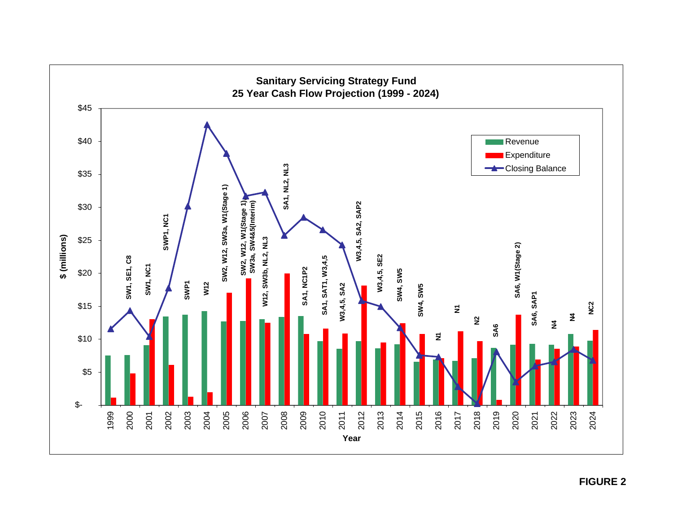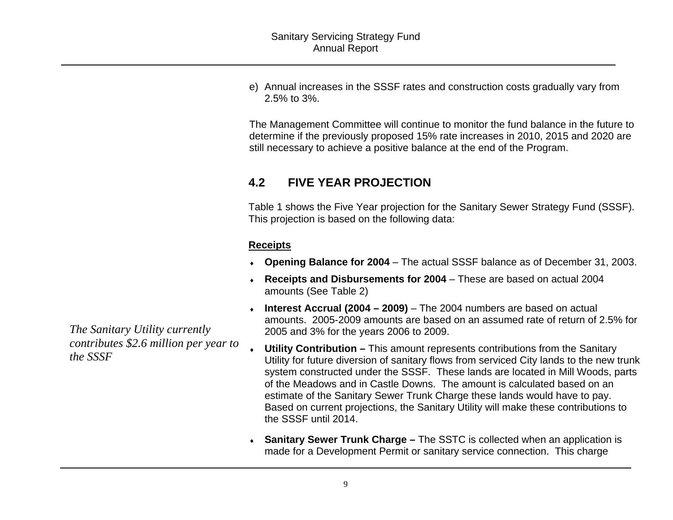e) Annual increases in the SSSF rates and construction costs gradually vary from 2.5% to 3%.

The Management Committee will continue to monitor the fund balance in the future to determine if the previously proposed 15% rate increases in 2010, 2015 and 2020 are still necessary to achieve a positive balance at the end of the Program.

### **4.2 FIVE YEAR PROJECTION**

Table 1 shows the Five Year projection for the Sanitary Sewer Strategy Fund (SSSF). This projection is based on the following data:

#### **Receipts**

- ♦ **Opening Balance for 2004** The actual SSSF balance as of December 31, 2003.
- ♦ **Receipts and Disbursements for 2004**  These are based on actual 2004 amounts (See Table 2)
- ♦ **Interest Accrual (2004 – 2009)** – The 2004 numbers are based on actual amounts. 2005-2009 amounts are based on an assumed rate of return of 2.5% for 2005 and 3% for the years 2006 to 2009.
- ♦ **Utility Contribution –** This amount represents contributions from the Sanitary Utility for future diversion of sanitary flows from serviced City lands to the new trunk system constructed under the SSSF. These lands are located in Mill Woods, parts of the Meadows and in Castle Downs. The amount is calculated based on an estimate of the Sanitary Sewer Trunk Charge these lands would have to pay. Based on current projections, the Sanitary Utility will make these contributions to the SSSF until 2014.
- **Sanitary Sewer Trunk Charge –** The SSTC is collected when an application is made for a Development Permit or sanitary service connection. This charge

*The Sanitary Utility currently contributes \$2.6 million per year to the SSSF*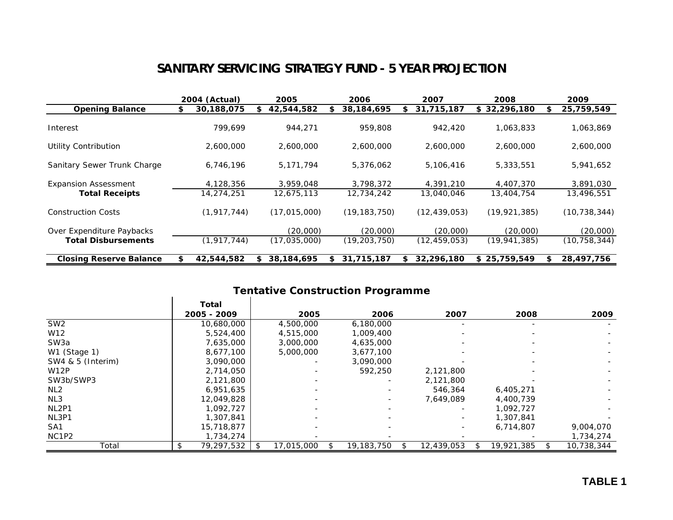### **SANITARY SERVICING STRATEGY FUND - 5 YEAR PROJECTION**

|                                | 2004 (Actual)    |    | <i><b>2005</b></i> | 2006             |     | 2007           |    | 2008           |   | 2009           |
|--------------------------------|------------------|----|--------------------|------------------|-----|----------------|----|----------------|---|----------------|
| <b>Opening Balance</b>         | \$<br>30,188,075 | \$ | 42,544,582         | \$<br>38,184,695 | \$. | 31,715,187     |    | \$32,296,180   | S | 25,759,549     |
| Interest                       | 799.699          |    | 944,271            | 959,808          |     | 942,420        |    | 1,063,833      |   | 1,063,869      |
| Utility Contribution           | 2,600,000        |    | 2,600,000          | 2,600,000        |     | 2,600,000      |    | 2,600,000      |   | 2,600,000      |
| Sanitary Sewer Trunk Charge    | 6,746,196        |    | 5,171,794          | 5,376,062        |     | 5,106,416      |    | 5,333,551      |   | 5,941,652      |
| <b>Expansion Assessment</b>    | 4,128,356        |    | 3,959,048          | 3,798,372        |     | 4,391,210      |    | 4,407,370      |   | 3,891,030      |
| <b>Total Receipts</b>          | 14,274,251       |    | 12,675,113         | 12,734,242       |     | 13,040,046     |    | 13,404,754     |   | 13,496,551     |
| <b>Construction Costs</b>      | (1, 917, 744)    |    | (17, 015, 000)     | (19, 183, 750)   |     | (12, 439, 053) |    | (19, 921, 385) |   | (10, 738, 344) |
| Over Expenditure Paybacks      |                  |    | (20,000)           | (20,000)         |     | (20,000)       |    | (20,000)       |   | (20,000)       |
| <b>Total Disbursements</b>     | (1, 917, 744)    |    | (17,035,000)       | (19, 203, 750)   |     | (12, 459, 053) |    | (19, 941, 385) |   | (10, 758, 344) |
| <b>Closing Reserve Balance</b> | 42,544,582       | S. | 38,184,695         | \$<br>31,715,187 | S   | 32,296,180     | S. | 25,759,549     |   | 28,497,756     |

### **Tentative Construction Programme**

|                   | Total           |            |            |            |            |            |
|-------------------|-----------------|------------|------------|------------|------------|------------|
|                   | 2005 - 2009     | 2005       | 2006       | 2007       | 2008       | 2009       |
| SW <sub>2</sub>   | 10,680,000      | 4,500,000  | 6,180,000  |            |            |            |
| W12               | 5,524,400       | 4,515,000  | 1,009,400  |            |            |            |
| SW <sub>3</sub> a | 7,635,000       | 3,000,000  | 4,635,000  |            |            |            |
| W1 (Stage 1)      | 8,677,100       | 5,000,000  | 3,677,100  |            |            |            |
| SW4 & 5 (Interim) | 3,090,000       |            | 3,090,000  |            |            |            |
| <b>W12P</b>       | 2,714,050       |            | 592,250    | 2,121,800  |            |            |
| SW3b/SWP3         | 2,121,800       |            |            | 2,121,800  |            |            |
| NL2               | 6,951,635       |            |            | 546,364    | 6,405,271  |            |
| NL3               | 12,049,828      |            |            | 7,649,089  | 4,400,739  |            |
| NL2P1             | 1,092,727       |            |            |            | 1,092,727  |            |
| NL3P1             | 1,307,841       |            |            |            | 1,307,841  |            |
| SA <sub>1</sub>   | 15,718,877      |            |            |            | 6,714,807  | 9,004,070  |
| NC1P2             | 1,734,274       |            |            |            |            | 1,734,274  |
| Total             | 79,297,532<br>S | 17,015,000 | 19,183,750 | 12,439,053 | 19,921,385 | 10,738,344 |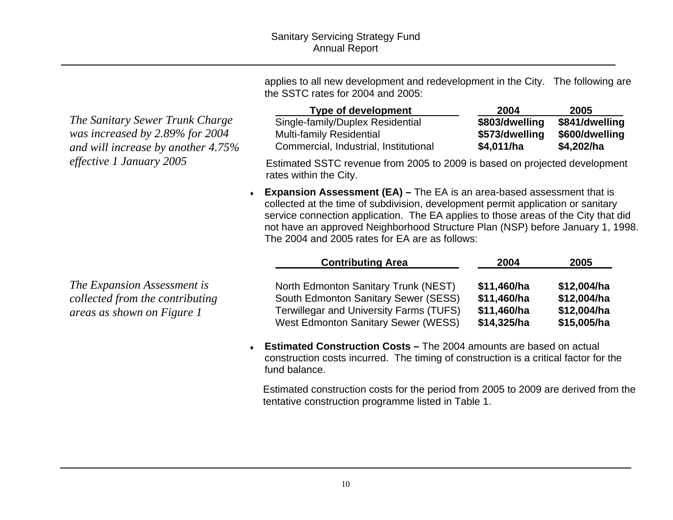*The Sanitary Sewer Trunk Charge was increased by 2.89% for 2004 and will increase by another 4.75% effective 1 January 2005* 

applies to all new development and redevelopment in the City. The following are the SSTC rates for 2004 and 2005:

| Type of development                   | 2004           | 2005           |
|---------------------------------------|----------------|----------------|
| Single-family/Duplex Residential      | \$803/dwelling | \$841/dwelling |
| <b>Multi-family Residential</b>       | \$573/dwelling | \$600/dwelling |
| Commercial, Industrial, Institutional | \$4,011/ha     | \$4,202/ha     |

Estimated SSTC revenue from 2005 to 2009 is based on projected development rates within the City.

♦ **Expansion Assessment (EA) –** The EA is an area-based assessment that is collected at the time of subdivision, development permit application or sanitary service connection application. The EA applies to those areas of the City that did not have an approved Neighborhood Structure Plan (NSP) before January 1, 1998. The 2004 and 2005 rates for EA are as follows:

|                                                                                              | <b>Contributing Area</b>                                                                                                                                                     | 2004                                                     | 2005                                                     |
|----------------------------------------------------------------------------------------------|------------------------------------------------------------------------------------------------------------------------------------------------------------------------------|----------------------------------------------------------|----------------------------------------------------------|
| The Expansion Assessment is<br>collected from the contributing<br>areas as shown on Figure 1 | North Edmonton Sanitary Trunk (NEST)<br>South Edmonton Sanitary Sewer (SESS)<br><b>Terwillegar and University Farms (TUFS)</b><br><b>West Edmonton Sanitary Sewer (WESS)</b> | \$11,460/ha<br>\$11,460/ha<br>\$11,460/ha<br>\$14,325/ha | \$12,004/ha<br>\$12,004/ha<br>\$12,004/ha<br>\$15,005/ha |

♦ **Estimated Construction Costs –** The 2004 amounts are based on actual construction costs incurred. The timing of construction is a critical factor for the fund balance.

Estimated construction costs for the period from 2005 to 2009 are derived from the tentative construction programme listed in Table 1.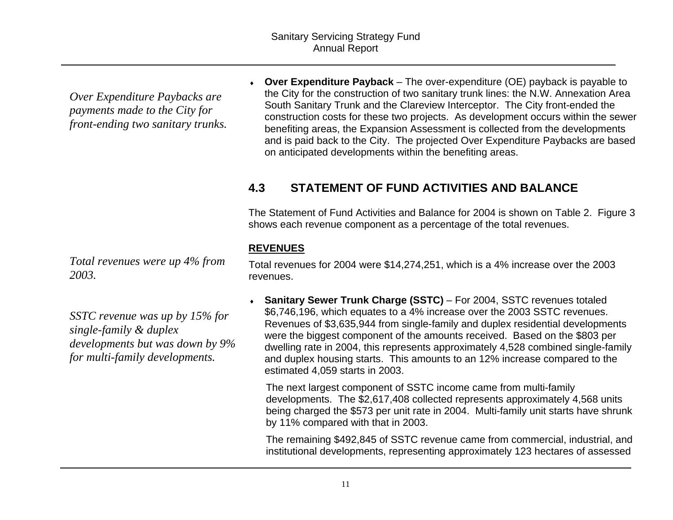*Over Expenditure Paybacks are payments made to the City for front-ending two sanitary trunks.* 

*Total revenues were up 4% from 2003.* 

*SSTC revenue was up by 15% for single-family & duplex developments but was down by 9% for multi-family developments.* 

♦ **Over Expenditure Payback** – The over-expenditure (OE) payback is payable to the City for the construction of two sanitary trunk lines: the N.W. Annexation Area South Sanitary Trunk and the Clareview Interceptor. The City front-ended the construction costs for these two projects. As development occurs within the sewer benefiting areas, the Expansion Assessment is collected from the developments and is paid back to the City. The projected Over Expenditure Paybacks are based on anticipated developments within the benefiting areas.

### **4.3 STATEMENT OF FUND ACTIVITIES AND BALANCE**

The Statement of Fund Activities and Balance for 2004 is shown on Table 2. Figure 3 shows each revenue component as a percentage of the total revenues.

#### **REVENUES**

Total revenues for 2004 were \$14,274,251, which is a 4% increase over the 2003 revenues.

• **Sanitary Sewer Trunk Charge (SSTC)** – For 2004, SSTC revenues totaled \$6,746,196, which equates to a 4% increase over the 2003 SSTC revenues. Revenues of \$3,635,944 from single-family and duplex residential developments were the biggest component of the amounts received. Based on the \$803 per dwelling rate in 2004, this represents approximately 4,528 combined single-family and duplex housing starts. This amounts to an 12% increase compared to the estimated 4,059 starts in 2003.

The next largest component of SSTC income came from multi-family developments. The \$2,617,408 collected represents approximately 4,568 units being charged the \$573 per unit rate in 2004. Multi-family unit starts have shrunk by 11% compared with that in 2003.

The remaining \$492,845 of SSTC revenue came from commercial, industrial, and institutional developments, representing approximately 123 hectares of assessed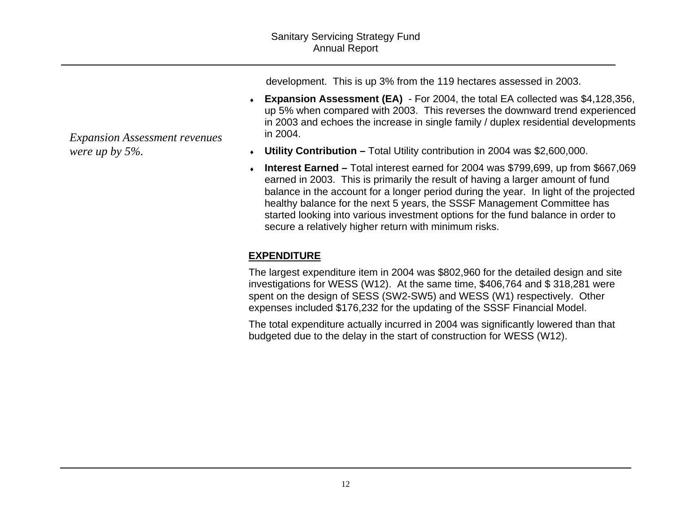development. This is up 3% from the 119 hectares assessed in 2003.

- ♦ **Expansion Assessment (EA)** For 2004, the total EA collected was \$4,128,356, up 5% when compared with 2003. This reverses the downward trend experienced in 2003 and echoes the increase in single family / duplex residential developments in 2004.
- ♦ **Utility Contribution** Total Utility contribution in 2004 was \$2,600,000.
- ♦ **Interest Earned –** Total interest earned for 2004 was \$799,699, up from \$667,069 earned in 2003. This is primarily the result of having a larger amount of fund balance in the account for a longer period during the year. In light of the projected healthy balance for the next 5 years, the SSSF Management Committee has started looking into various investment options for the fund balance in order to secure a relatively higher return with minimum risks.

### **EXPENDITURE**

The largest expenditure item in 2004 was \$802,960 for the detailed design and site investigations for WESS (W12). At the same time, \$406,764 and \$ 318,281 were spent on the design of SESS (SW2-SW5) and WESS (W1) respectively. Other expenses included \$176,232 for the updating of the SSSF Financial Model.

The total expenditure actually incurred in 2004 was significantly lowered than that budgeted due to the delay in the start of construction for WESS (W12).

*Expansion Assessment revenues were up by 5%.*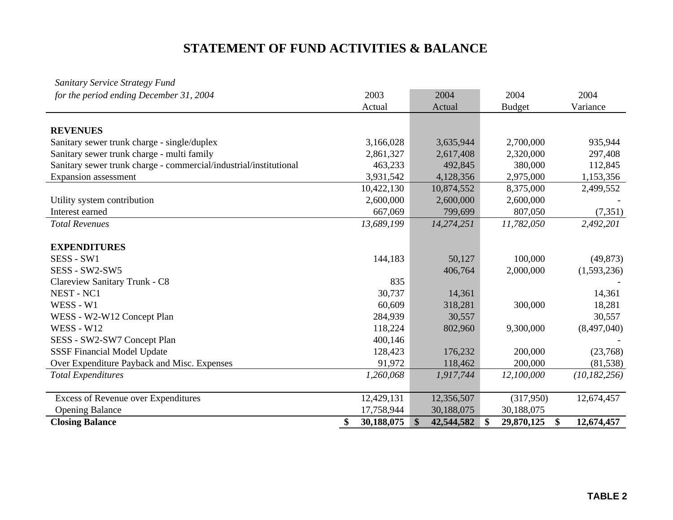### **STATEMENT OF FUND ACTIVITIES & BALANCE**

| <b>Sanitary Service Strategy Fund</b>                             |                  |                             |                  |                  |
|-------------------------------------------------------------------|------------------|-----------------------------|------------------|------------------|
| for the period ending December 31, 2004                           | 2003             | 2004                        | 2004             | 2004             |
|                                                                   | Actual           | Actual                      | <b>Budget</b>    | Variance         |
|                                                                   |                  |                             |                  |                  |
| <b>REVENUES</b>                                                   |                  |                             |                  |                  |
| Sanitary sewer trunk charge - single/duplex                       | 3,166,028        | 3,635,944                   | 2,700,000        | 935,944          |
| Sanitary sewer trunk charge - multi family                        | 2,861,327        | 2,617,408                   | 2,320,000        | 297,408          |
| Sanitary sewer trunk charge - commercial/industrial/institutional | 463,233          | 492,845                     | 380,000          | 112,845          |
| Expansion assessment                                              | 3,931,542        | 4,128,356                   | 2,975,000        | 1,153,356        |
|                                                                   | 10,422,130       | 10,874,552                  | 8,375,000        | 2,499,552        |
| Utility system contribution                                       | 2,600,000        | 2,600,000                   | 2,600,000        |                  |
| Interest earned                                                   | 667,069          | 799,699                     | 807,050          | (7,351)          |
| <b>Total Revenues</b>                                             | 13,689,199       | 14,274,251                  | 11,782,050       | 2,492,201        |
| <b>EXPENDITURES</b>                                               |                  |                             |                  |                  |
| SESS - SW1                                                        | 144,183          | 50,127                      | 100,000          | (49, 873)        |
| SESS - SW2-SW5                                                    |                  | 406,764                     | 2,000,000        | (1,593,236)      |
| Clareview Sanitary Trunk - C8                                     | 835              |                             |                  |                  |
| NEST - NC1                                                        | 30,737           | 14,361                      |                  | 14,361           |
| WESS - W1                                                         | 60,609           | 318,281                     | 300,000          | 18,281           |
| WESS - W2-W12 Concept Plan                                        | 284,939          | 30,557                      |                  | 30,557           |
| <b>WESS - W12</b>                                                 | 118,224          | 802,960                     | 9,300,000        | (8,497,040)      |
| SESS - SW2-SW7 Concept Plan                                       | 400,146          |                             |                  |                  |
| <b>SSSF Financial Model Update</b>                                | 128,423          | 176,232                     | 200,000          | (23,768)         |
| Over Expenditure Payback and Misc. Expenses                       | 91,972           | 118,462                     | 200,000          | (81,538)         |
| <b>Total Expenditures</b>                                         | 1,260,068        | 1,917,744                   | 12,100,000       | (10, 182, 256)   |
| <b>Excess of Revenue over Expenditures</b>                        | 12,429,131       | 12,356,507                  | (317,950)        | 12,674,457       |
| <b>Opening Balance</b>                                            | 17,758,944       | 30,188,075                  | 30,188,075       |                  |
| <b>Closing Balance</b>                                            | 30,188,075<br>\$ | $\mathbf{\$}$<br>42,544,582 | 29,870,125<br>\$ | \$<br>12,674,457 |